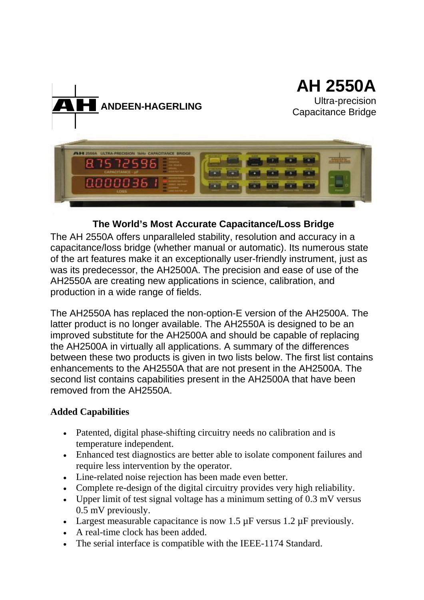

### **The World's Most Accurate Capacitance/Loss Bridge**

The AH 2550A offers unparalleled stability, resolution and accuracy in a capacitance/loss bridge (whether manual or automatic). Its numerous state of the art features make it an exceptionally user-friendly instrument, just as was its predecessor, the AH2500A. The precision and ease of use of the AH2550A are creating new applications in science, calibration, and production in a wide range of fields.

The AH2550A has replaced the non-option-E version of the AH2500A. The latter product is no longer available. The AH2550A is designed to be an improved substitute for the AH2500A and should be capable of replacing the AH2500A in virtually all applications. A summary of the differences between these two products is given in two lists below. The first list contains enhancements to the AH2550A that are not present in the AH2500A. The second list contains capabilities present in the AH2500A that have been removed from the AH2550A.

#### **Added Capabilities**

- Patented, digital phase-shifting circuitry needs no calibration and is temperature independent.
- Enhanced test diagnostics are better able to isolate component failures and require less intervention by the operator.
- Line-related noise rejection has been made even better.
- Complete re-design of the digital circuitry provides very high reliability.
- Upper limit of test signal voltage has a minimum setting of 0.3 mV versus 0.5 mV previously.
- Largest measurable capacitance is now  $1.5 \mu$ F versus  $1.2 \mu$ F previously.
- A real-time clock has been added.
- The serial interface is compatible with the IEEE-1174 Standard.